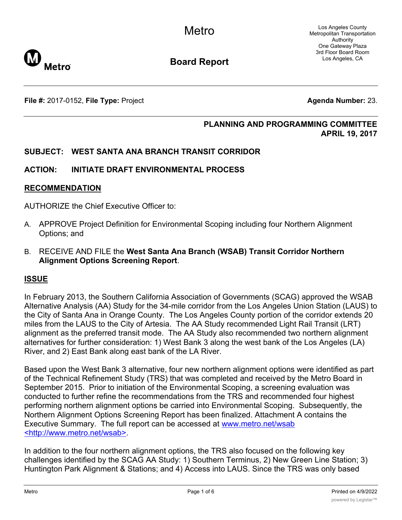Los Angeles County Metropolitan Transportation Authority One Gateway Plaza 3rd Floor Board Room Los Angeles, CA



**Board Report**

**File #:** 2017-0152, File Type: Project **Agents Agenda Number:** 23.

## **PLANNING AND PROGRAMMING COMMITTEE APRIL 19, 2017**

## **SUBJECT: WEST SANTA ANA BRANCH TRANSIT CORRIDOR**

## **ACTION: INITIATE DRAFT ENVIRONMENTAL PROCESS**

#### **RECOMMENDATION**

AUTHORIZE the Chief Executive Officer to:

- A. APPROVE Project Definition for Environmental Scoping including four Northern Alignment Options; and
- B. RECEIVE AND FILE the **West Santa Ana Branch (WSAB) Transit Corridor Northern Alignment Options Screening Report**.

## **ISSUE**

In February 2013, the Southern California Association of Governments (SCAG) approved the WSAB Alternative Analysis (AA) Study for the 34-mile corridor from the Los Angeles Union Station (LAUS) to the City of Santa Ana in Orange County. The Los Angeles County portion of the corridor extends 20 miles from the LAUS to the City of Artesia. The AA Study recommended Light Rail Transit (LRT) alignment as the preferred transit mode. The AA Study also recommended two northern alignment alternatives for further consideration: 1) West Bank 3 along the west bank of the Los Angeles (LA) River, and 2) East Bank along east bank of the LA River.

Based upon the West Bank 3 alternative, four new northern alignment options were identified as part of the Technical Refinement Study (TRS) that was completed and received by the Metro Board in September 2015. Prior to initiation of the Environmental Scoping, a screening evaluation was conducted to further refine the recommendations from the TRS and recommended four highest performing northern alignment options be carried into Environmental Scoping. Subsequently, the Northern Alignment Options Screening Report has been finalized. Attachment A contains the Executive Summary. The full report can be accessed at www.metro.net/wsab <http://www.metro.net/wsab>.

In addition to the four northern alignment options, the TRS also focused on the following key challenges identified by the SCAG AA Study: 1) Southern Terminus, 2) New Green Line Station; 3) Huntington Park Alignment & Stations; and 4) Access into LAUS. Since the TRS was only based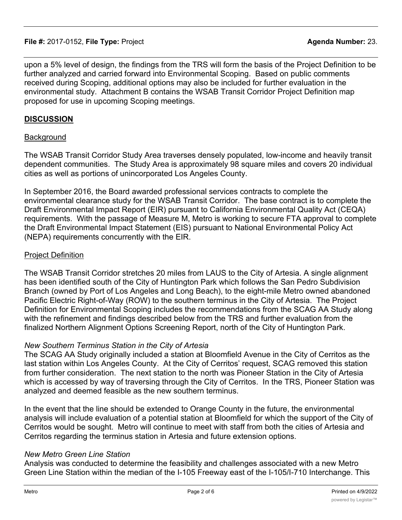upon a 5% level of design, the findings from the TRS will form the basis of the Project Definition to be further analyzed and carried forward into Environmental Scoping. Based on public comments received during Scoping, additional options may also be included for further evaluation in the environmental study. Attachment B contains the WSAB Transit Corridor Project Definition map proposed for use in upcoming Scoping meetings.

## **DISCUSSION**

## **Background**

The WSAB Transit Corridor Study Area traverses densely populated, low-income and heavily transit dependent communities. The Study Area is approximately 98 square miles and covers 20 individual cities as well as portions of unincorporated Los Angeles County.

In September 2016, the Board awarded professional services contracts to complete the environmental clearance study for the WSAB Transit Corridor. The base contract is to complete the Draft Environmental Impact Report (EIR) pursuant to California Environmental Quality Act (CEQA) requirements. With the passage of Measure M, Metro is working to secure FTA approval to complete the Draft Environmental Impact Statement (EIS) pursuant to National Environmental Policy Act (NEPA) requirements concurrently with the EIR.

## Project Definition

The WSAB Transit Corridor stretches 20 miles from LAUS to the City of Artesia. A single alignment has been identified south of the City of Huntington Park which follows the San Pedro Subdivision Branch (owned by Port of Los Angeles and Long Beach), to the eight-mile Metro owned abandoned Pacific Electric Right-of-Way (ROW) to the southern terminus in the City of Artesia. The Project Definition for Environmental Scoping includes the recommendations from the SCAG AA Study along with the refinement and findings described below from the TRS and further evaluation from the finalized Northern Alignment Options Screening Report, north of the City of Huntington Park.

## *New Southern Terminus Station in the City of Artesia*

The SCAG AA Study originally included a station at Bloomfield Avenue in the City of Cerritos as the last station within Los Angeles County. At the City of Cerritos' request, SCAG removed this station from further consideration. The next station to the north was Pioneer Station in the City of Artesia which is accessed by way of traversing through the City of Cerritos. In the TRS, Pioneer Station was analyzed and deemed feasible as the new southern terminus.

In the event that the line should be extended to Orange County in the future, the environmental analysis will include evaluation of a potential station at Bloomfield for which the support of the City of Cerritos would be sought. Metro will continue to meet with staff from both the cities of Artesia and Cerritos regarding the terminus station in Artesia and future extension options.

## *New Metro Green Line Station*

Analysis was conducted to determine the feasibility and challenges associated with a new Metro Green Line Station within the median of the I-105 Freeway east of the I-105/I-710 Interchange. This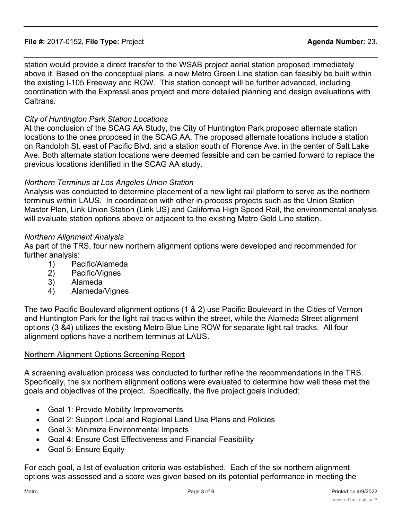station would provide a direct transfer to the WSAB project aerial station proposed immediately above it. Based on the conceptual plans, a new Metro Green Line station can feasibly be built within the existing I-105 Freeway and ROW. This station concept will be further advanced, including coordination with the ExpressLanes project and more detailed planning and design evaluations with Caltrans.

## *City of Huntington Park Station Locations*

At the conclusion of the SCAG AA Study, the City of Huntington Park proposed alternate station locations to the ones proposed in the SCAG AA. The proposed alternate locations include a station on Randolph St. east of Pacific Blvd. and a station south of Florence Ave. in the center of Salt Lake Ave. Both alternate station locations were deemed feasible and can be carried forward to replace the previous locations identified in the SCAG AA study.

## *Northern Terminus at Los Angeles Union Station*

Analysis was conducted to determine placement of a new light rail platform to serve as the northern terminus within LAUS. In coordination with other in-process projects such as the Union Station Master Plan, Link Union Station (Link US) and California High Speed Rail, the environmental analysis will evaluate station options above or adjacent to the existing Metro Gold Line station.

## *Northern Alignment Analysis*

As part of the TRS, four new northern alignment options were developed and recommended for further analysis:

- 1) Pacific/Alameda
- 2) Pacific/Vignes
- 3) Alameda
- 4) Alameda/Vignes

The two Pacific Boulevard alignment options (1 & 2) use Pacific Boulevard in the Cities of Vernon and Huntington Park for the light rail tracks within the street, while the Alameda Street alignment options (3 &4) utilizes the existing Metro Blue Line ROW for separate light rail tracks. All four alignment options have a northern terminus at LAUS.

## Northern Alignment Options Screening Report

A screening evaluation process was conducted to further refine the recommendations in the TRS. Specifically, the six northern alignment options were evaluated to determine how well these met the goals and objectives of the project. Specifically, the five project goals included:

- Goal 1: Provide Mobility Improvements
- · Goal 2: Support Local and Regional Land Use Plans and Policies
- · Goal 3: Minimize Environmental Impacts
- · Goal 4: Ensure Cost Effectiveness and Financial Feasibility
- Goal 5: Ensure Equity

For each goal, a list of evaluation criteria was established. Each of the six northern alignment options was assessed and a score was given based on its potential performance in meeting the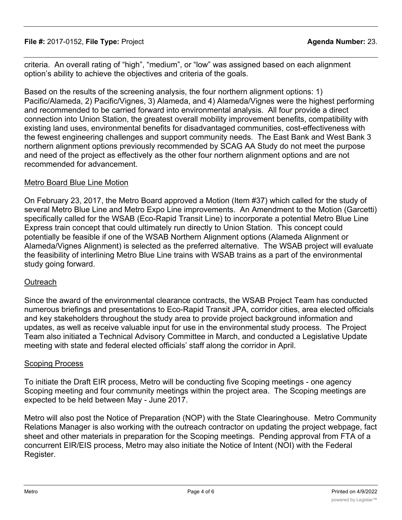**File #:** 2017-0152, **File Type:** Project **Agenda Number:** 23.

criteria. An overall rating of "high", "medium", or "low" was assigned based on each alignment option's ability to achieve the objectives and criteria of the goals.

Based on the results of the screening analysis, the four northern alignment options: 1) Pacific/Alameda, 2) Pacific/Vignes, 3) Alameda, and 4) Alameda/Vignes were the highest performing and recommended to be carried forward into environmental analysis. All four provide a direct connection into Union Station, the greatest overall mobility improvement benefits, compatibility with existing land uses, environmental benefits for disadvantaged communities, cost-effectiveness with the fewest engineering challenges and support community needs. The East Bank and West Bank 3 northern alignment options previously recommended by SCAG AA Study do not meet the purpose and need of the project as effectively as the other four northern alignment options and are not recommended for advancement.

# Metro Board Blue Line Motion

On February 23, 2017, the Metro Board approved a Motion (Item #37) which called for the study of several Metro Blue Line and Metro Expo Line improvements. An Amendment to the Motion (Garcetti) specifically called for the WSAB (Eco-Rapid Transit Line) to incorporate a potential Metro Blue Line Express train concept that could ultimately run directly to Union Station. This concept could potentially be feasible if one of the WSAB Northern Alignment options (Alameda Alignment or Alameda/Vignes Alignment) is selected as the preferred alternative. The WSAB project will evaluate the feasibility of interlining Metro Blue Line trains with WSAB trains as a part of the environmental study going forward.

## Outreach

Since the award of the environmental clearance contracts, the WSAB Project Team has conducted numerous briefings and presentations to Eco-Rapid Transit JPA, corridor cities, area elected officials and key stakeholders throughout the study area to provide project background information and updates, as well as receive valuable input for use in the environmental study process. The Project Team also initiated a Technical Advisory Committee in March, and conducted a Legislative Update meeting with state and federal elected officials' staff along the corridor in April.

## Scoping Process

To initiate the Draft EIR process, Metro will be conducting five Scoping meetings - one agency Scoping meeting and four community meetings within the project area. The Scoping meetings are expected to be held between May - June 2017.

Metro will also post the Notice of Preparation (NOP) with the State Clearinghouse. Metro Community Relations Manager is also working with the outreach contractor on updating the project webpage, fact sheet and other materials in preparation for the Scoping meetings. Pending approval from FTA of a concurrent EIR/EIS process, Metro may also initiate the Notice of Intent (NOI) with the Federal Register.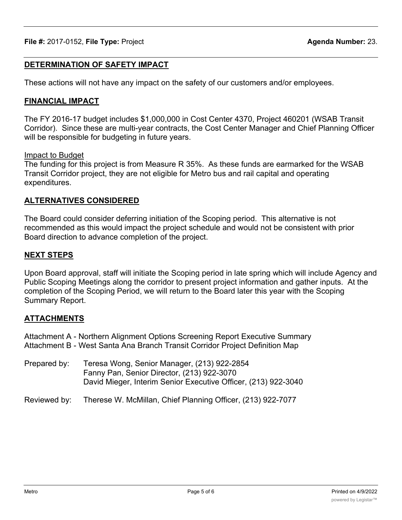# **DETERMINATION OF SAFETY IMPACT**

These actions will not have any impact on the safety of our customers and/or employees.

# **FINANCIAL IMPACT**

The FY 2016-17 budget includes \$1,000,000 in Cost Center 4370, Project 460201 (WSAB Transit Corridor). Since these are multi-year contracts, the Cost Center Manager and Chief Planning Officer will be responsible for budgeting in future years.

## Impact to Budget

The funding for this project is from Measure R 35%. As these funds are earmarked for the WSAB Transit Corridor project, they are not eligible for Metro bus and rail capital and operating expenditures.

# **ALTERNATIVES CONSIDERED**

The Board could consider deferring initiation of the Scoping period. This alternative is not recommended as this would impact the project schedule and would not be consistent with prior Board direction to advance completion of the project.

## **NEXT STEPS**

Upon Board approval, staff will initiate the Scoping period in late spring which will include Agency and Public Scoping Meetings along the corridor to present project information and gather inputs. At the completion of the Scoping Period, we will return to the Board later this year with the Scoping Summary Report.

## **ATTACHMENTS**

Attachment A - Northern Alignment Options Screening Report Executive Summary Attachment B - West Santa Ana Branch Transit Corridor Project Definition Map

Prepared by: Teresa Wong, Senior Manager, (213) 922-2854 Fanny Pan, Senior Director, (213) 922-3070 David Mieger, Interim Senior Executive Officer, (213) 922-3040

Reviewed by: Therese W. McMillan, Chief Planning Officer, (213) 922-7077